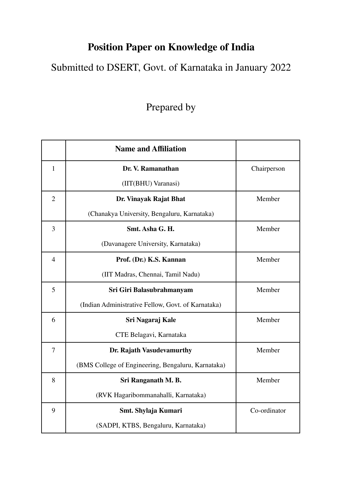## **Position Paper on Knowledge of India**

Submitted to DSERT, Govt. of Karnataka in January 2022

## Prepared by

|                | <b>Name and Affiliation</b>                        |              |
|----------------|----------------------------------------------------|--------------|
| $\mathbf{1}$   | Dr. V. Ramanathan                                  | Chairperson  |
|                | (IIT(BHU) Varanasi)                                |              |
| $\overline{2}$ | Dr. Vinayak Rajat Bhat                             | Member       |
|                | (Chanakya University, Bengaluru, Karnataka)        |              |
| 3              | Smt. Asha G. H.                                    | Member       |
|                | (Davanagere University, Karnataka)                 |              |
| $\overline{4}$ | Prof. (Dr.) K.S. Kannan                            | Member       |
|                | (IIT Madras, Chennai, Tamil Nadu)                  |              |
| 5              | Sri Giri Balasubrahmanyam                          | Member       |
|                | (Indian Administrative Fellow, Govt. of Karnataka) |              |
| 6              | Sri Nagaraj Kale                                   | Member       |
|                | CTE Belagavi, Karnataka                            |              |
| $\overline{7}$ | Dr. Rajath Vasudevamurthy                          | Member       |
|                | (BMS College of Engineering, Bengaluru, Karnataka) |              |
| 8              | Sri Ranganath M. B.                                | Member       |
|                | (RVK Hagaribommanahalli, Karnataka)                |              |
| 9              | Smt. Shylaja Kumari                                | Co-ordinator |
|                | (SADPI, KTBS, Bengaluru, Karnataka)                |              |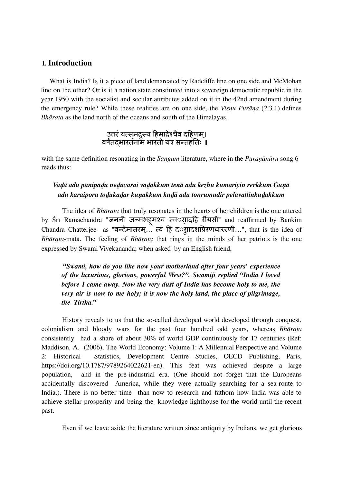#### **1. Introduction**

What is India? Is it a piece of land demarcated by Radcliffe line on one side and McMohan line on the other? Or is it a nation state constituted into a sovereign democratic republic in the year 1950 with the socialist and secular attributes added on it in the 42nd amendment during the emergency rule? While these realities are on one side, the *Viṣṇu Purāṇa* (2.3.1) defines *Bhārata* as the land north of the oceans and south of the Himalayas,

## उत्तरं यत्समद्रस्य हिमाद्रेश्चैव दहिणम्। वर्षंतर्षं द्भारतंनाम भारती यत्र सन्तहतिः ॥

with the same definition resonating in the *Sangam* literature, where in the *Puraṇānūru* song 6 reads thus:

## *Vaḍā adu panipaḍu neḍuvarai vaḍakkum tenā adu kezhu kumariyin rerkkum Guṇā adu karaiporu toḍukaḍar kuṇakkum kuḍā adu tonrumudir pelavattinkuḍakkum*

The idea of *Bhārata* that truly resonates in the hearts of her children is the one uttered by Śrī Rāmachandra "जननी जन्मभहूमश्च स्वरादहि रीयसी" and reaffirmed by Bankim Chandra Chatterjee as "वन्देमातरम... त्वं हि दर्गादशप्रिरणधाररणी...", that is the idea of *Bhārata*-mātā. The feeling of *Bhārata* that rings in the minds of her patriots is the one expressed by Swami Vivekananda; when asked by an English friend,

*"Swami, how do you like now your motherland after four years' experience of the luxurious, glorious, powerful West?", Swamiji replied "India I loved before I came away. Now the very dust of India has become holy to me, the very air is now to me holy; it is now the holy land, the place of pilgrimage, the Tirtha."*

History reveals to us that the so-called developed world developed through conquest, colonialism and bloody wars for the past four hundred odd years, whereas *Bhārata* consistently had a share of about 30% of world GDP continuously for 17 centuries (Ref: Maddison, A. (2006), The World Economy: Volume 1: A Millennial Perspective and Volume 2: Historical Statistics, Development Centre Studies, OECD Publishing, Paris, https://doi.org/10.1787/9789264022621-en). This feat was achieved despite a large population, and in the pre-industrial era. (One should not forget that the Europeans accidentally discovered America, while they were actually searching for a sea-route to India.). There is no better time than now to research and fathom how India was able to achieve stellar prosperity and being the knowledge lighthouse for the world until the recent past.

Even if we leave aside the literature written since antiquity by Indians, we get glorious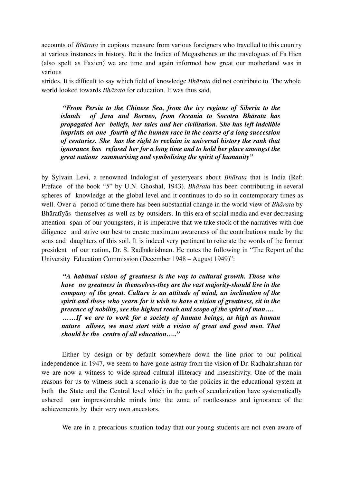accounts of *Bhārata* in copious measure from various foreigners who travelled to this country at various instances in history. Be it the Indica of Megasthenes or the travelogues of Fa Hien (also spelt as Faxien) we are time and again informed how great our motherland was in various

strides. It is difficult to say which field of knowledge *Bhārata* did not contribute to. The whole world looked towards *Bhārata* for education. It was thus said,

*"From Persia to the Chinese Sea, from the icy regions of Siberia to the islands of Java and Borneo, from Oceania to Socotra Bhārata has propagated her beliefs, her tales and her civilisation. She has left indelible imprints on one fourth of the human race in the course of a long succession of centuries. She has the right to reclaim in universal history the rank that ignorance has refused her for a long time and to hold her place amongst the great nations summarising and symbolising the spirit of humanity"*

by Sylvain Levi, a renowned Indologist of yesteryears about *Bhārata* that is India (Ref: Preface of the book "*5*" by U.N. Ghoshal, 1943). *Bhārata* has been contributing in several spheres of knowledge at the global level and it continues to do so in contemporary times as well. Over a period of time there has been substantial change in the world view of *Bhārata* by Bhāratīyās themselves as well as by outsiders. In this era of social media and ever decreasing attention span of our youngsters, it is imperative that we take stock of the narratives with due diligence and strive our best to create maximum awareness of the contributions made by the sons and daughters of this soil. It is indeed very pertinent to reiterate the words of the former president of our nation, Dr. S. Radhakrishnan. He notes the following in "The Report of the University Education Commission (December 1948 – August 1949)":

*"A habitual vision of greatness is the way to cultural growth. Those who have no greatness in themselves-they are the vast majority-should live in the company of the great. Culture is an attitude of mind, an inclination of the spirit and those who yearn for it wish to have a vision of greatness, sit in the presence of nobility, see the highest reach and scope of the spirit of man…. ……If we are to work for a society of human beings, as high as human nature allows, we must start with a vision of great and good men. That should be the centre of all education….."*

Either by design or by default somewhere down the line prior to our political independence in 1947, we seem to have gone astray from the vision of Dr. Radhakrishnan for we are now a witness to wide-spread cultural illiteracy and insensitivity. One of the main reasons for us to witness such a scenario is due to the policies in the educational system at both the State and the Central level which in the garb of secularization have systematically ushered our impressionable minds into the zone of rootlessness and ignorance of the achievements by their very own ancestors.

We are in a precarious situation today that our young students are not even aware of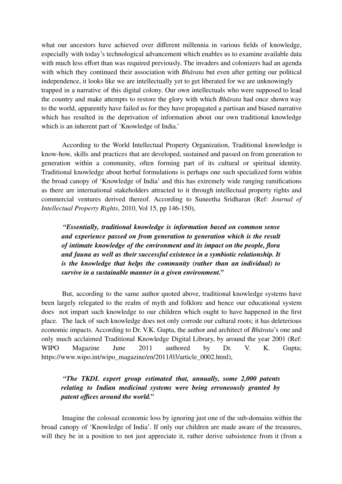what our ancestors have achieved over different millennia in various fields of knowledge, especially with today's technological advancement which enables us to examine available data with much less effort than was required previously. The invaders and colonizers had an agenda with which they continued their association with *Bhārata* but even after getting our political independence, it looks like we are intellectually yet to get liberated for we are unknowingly trapped in a narrative of this digital colony. Our own intellectuals who were supposed to lead the country and make attempts to restore the glory with which *Bhārata* had once shown way to the world, apparently have failed us for they have propagated a partisan and biased narrative which has resulted in the deprivation of information about our own traditional knowledge which is an inherent part of 'Knowledge of India.'

According to the World Intellectual Property Organization, Traditional knowledge is know-how, skills and practices that are developed, sustained and passed on from generation to generation within a community, often forming part of its cultural or spiritual identity. Traditional knowledge about herbal formulations is perhaps one such specialized form within the broad canopy of 'Knowledge of India' and this has extremely wide ranging ramifications as there are international stakeholders attracted to it through intellectual property rights and commercial ventures derived thereof. According to Suneetha Sridharan (Ref: *Journal of Intellectual Property Rights*, 2010, Vol 15, pp 146-150),

*"Essentially, traditional knowledge is information based on common sense and experience passed on from generation to generation which is the result of intimate knowledge of the environment and its impact on the people, flora and fauna as well as their successful existence in a symbiotic relationship. It is the knowledge that helps the community (rather than an individual) to survive in a sustainable manner in a given environment."*

But, according to the same author quoted above, traditional knowledge systems have been largely relegated to the realm of myth and folklore and hence our educational system does not impart such knowledge to our children which ought to have happened in the first place. The lack of such knowledge does not only corrode our cultural roots; it has deleterious economic impacts. According to Dr. V.K. Gupta, the author and architect of *Bhārata*'s one and only much acclaimed Traditional Knowledge Digital Library, by around the year 2001 (Ref: WIPO Magazine June 2011 authored by Dr. V. K. Gupta; https://www.wipo.int/wipo\_magazine/en/2011/03/article\_0002.html),

*"The TKDL expert group estimated that, annually, some 2,000 patents relating to Indian medicinal systems were being erroneously granted by patent offices around the world."*

Imagine the colossal economic loss by ignoring just one of the sub-domains within the broad canopy of 'Knowledge of India'. If only our children are made aware of the treasures, will they be in a position to not just appreciate it, rather derive subsistence from it (from a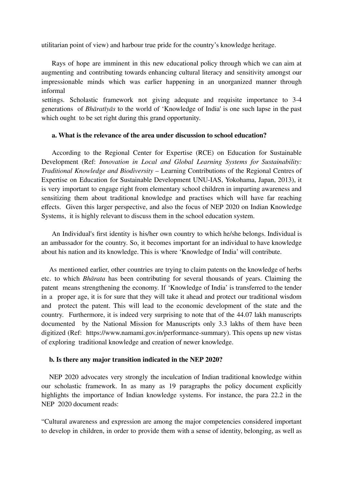utilitarian point of view) and harbour true pride for the country's knowledge heritage.

Rays of hope are imminent in this new educational policy through which we can aim at augmenting and contributing towards enhancing cultural literacy and sensitivity amongst our impressionable minds which was earlier happening in an unorganized manner through informal

settings. Scholastic framework not giving adequate and requisite importance to 3-4 generations of *Bhāratīyās* to the world of 'Knowledge of India' is one such lapse in the past which ought to be set right during this grand opportunity.

#### **a. What is the relevance of the area under discussion to school education?**

According to the Regional Center for Expertise (RCE) on Education for Sustainable Development (Ref: *Innovation in Local and Global Learning Systems for Sustainability: Traditional Knowledge and Biodiversity* – Learning Contributions of the Regional Centres of Expertise on Education for Sustainable Development UNU-IAS, Yokohama, Japan, 2013), it is very important to engage right from elementary school children in imparting awareness and sensitizing them about traditional knowledge and practises which will have far reaching effects. Given this larger perspective, and also the focus of NEP 2020 on Indian Knowledge Systems, it is highly relevant to discuss them in the school education system.

An Individual's first identity is his/her own country to which he/she belongs. Individual is an ambassador for the country. So, it becomes important for an individual to have knowledge about his nation and its knowledge. This is where 'Knowledge of India' will contribute.

As mentioned earlier, other countries are trying to claim patents on the knowledge of herbs etc. to which *Bhārata* has been contributing for several thousands of years. Claiming the patent means strengthening the economy. If 'Knowledge of India' is transferred to the tender in a proper age, it is for sure that they will take it ahead and protect our traditional wisdom and protect the patent. This will lead to the economic development of the state and the country. Furthermore, it is indeed very surprising to note that of the 44.07 lakh manuscripts documented by the National Mission for Manuscripts only 3.3 lakhs of them have been digitized (Ref: https://www.namami.gov.in/performance-summary). This opens up new vistas of exploring traditional knowledge and creation of newer knowledge.

#### **b. Is there any major transition indicated in the NEP 2020?**

NEP 2020 advocates very strongly the inculcation of Indian traditional knowledge within our scholastic framework. In as many as 19 paragraphs the policy document explicitly highlights the importance of Indian knowledge systems. For instance, the para 22.2 in the NEP 2020 document reads:

"Cultural awareness and expression are among the major competencies considered important to develop in children, in order to provide them with a sense of identity, belonging, as well as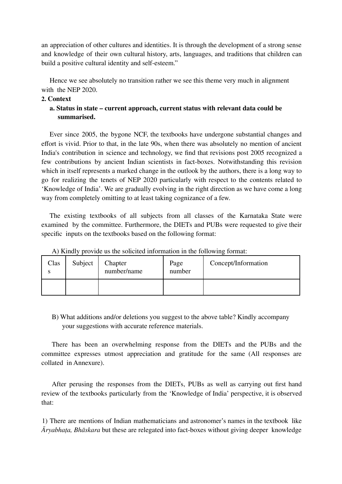an appreciation of other cultures and identities. It is through the development of a strong sense and knowledge of their own cultural history, arts, languages, and traditions that children can build a positive cultural identity and self-esteem."

Hence we see absolutely no transition rather we see this theme very much in alignment with the NEP 2020.

#### **2. Context**

## **a. Status in state – current approach, current status with relevant data could be summarised.**

Ever since 2005, the bygone NCF, the textbooks have undergone substantial changes and effort is vivid. Prior to that, in the late 90s, when there was absolutely no mention of ancient India's contribution in science and technology, we find that revisions post 2005 recognized a few contributions by ancient Indian scientists in fact-boxes. Notwithstanding this revision which in itself represents a marked change in the outlook by the authors, there is a long way to go for realizing the tenets of NEP 2020 particularly with respect to the contents related to 'Knowledge of India'. We are gradually evolving in the right direction as we have come a long way from completely omitting to at least taking cognizance of a few.

The existing textbooks of all subjects from all classes of the Karnataka State were examined by the committee. Furthermore, the DIETs and PUBs were requested to give their specific inputs on the textbooks based on the following format:

| Clas<br>S | Subject | Chapter<br>number/name | Page<br>number | Concept/Information |
|-----------|---------|------------------------|----------------|---------------------|
|           |         |                        |                |                     |

A) Kindly provide us the solicited information in the following format:

B) What additions and/or deletions you suggest to the above table? Kindly accompany your suggestions with accurate reference materials.

There has been an overwhelming response from the DIETs and the PUBs and the committee expresses utmost appreciation and gratitude for the same (All responses are collated in Annexure).

After perusing the responses from the DIETs, PUBs as well as carrying out first hand review of the textbooks particularly from the 'Knowledge of India' perspective, it is observed that:

1) There are mentions of Indian mathematicians and astronomer's names in the textbook like *Āryabhaṭa, Bhāskara* but these are relegated into fact-boxes without giving deeper knowledge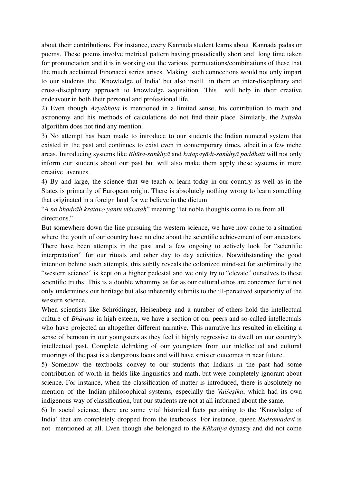about their contributions. For instance, every Kannada student learns about Kannada padas or poems. These poems involve metrical pattern having prosodically short and long time taken for pronunciation and it is in working out the various permutations/combinations of these that the much acclaimed Fibonacci series arises. Making such connections would not only impart to our students the 'Knowledge of India' but also instill in them an inter-disciplinary and cross-disciplinary approach to knowledge acquisition. This will help in their creative endeavour in both their personal and professional life.

2) Even though *Āryabhaṭa* is mentioned in a limited sense, his contribution to math and astronomy and his methods of calculations do not find their place. Similarly, the *kuttaka* algorithm does not find any mention.

3) No attempt has been made to introduce to our students the Indian numeral system that existed in the past and continues to exist even in contemporary times, albeit in a few niche areas. Introducing systems like *Bhūta-saṅkhyā* and *kaṭapayādi-saṅkhyā paddhati* will not only inform our students about our past but will also make them apply these systems in more creative avenues.

4) By and large, the science that we teach or learn today in our country as well as in the States is primarily of European origin. There is absolutely nothing wrong to learn something that originated in a foreign land for we believe in the dictum

"*Ā no bhadrāḥ kratavo yantu viśvataḥ*" meaning "let noble thoughts come to us from all directions."

But somewhere down the line pursuing the western science, we have now come to a situation where the youth of our country have no clue about the scientific achievement of our ancestors. There have been attempts in the past and a few ongoing to actively look for "scientific interpretation" for our rituals and other day to day activities. Notwithstanding the good intention behind such attempts, this subtly reveals the colonized mind-set for subliminally the "western science" is kept on a higher pedestal and we only try to "elevate" ourselves to these scientific truths. This is a double whammy as far as our cultural ethos are concerned for it not only undermines our heritage but also inherently submits to the ill-perceived superiority of the western science.

When scientists like Schrödinger, Heisenberg and a number of others hold the intellectual culture of *Bhārata* in high esteem, we have a section of our peers and so-called intellectuals who have projected an altogether different narrative. This narrative has resulted in eliciting a sense of bemoan in our youngsters as they feel it highly regressive to dwell on our country's intellectual past. Complete delinking of our youngsters from our intellectual and cultural moorings of the past is a dangerous locus and will have sinister outcomes in near future.

5) Somehow the textbooks convey to our students that Indians in the past had some contribution of worth in fields like linguistics and math, but were completely ignorant about science. For instance, when the classification of matter is introduced, there is absolutely no mention of the Indian philosophical systems, especially the *Vaiśeṣika*, which had its own indigenous way of classification, but our students are not at all informed about the same.

6) In social science, there are some vital historical facts pertaining to the 'Knowledge of India' that are completely dropped from the textbooks. For instance, queen *Rudramadevi* is not mentioned at all. Even though she belonged to the *Kākatiya* dynasty and did not come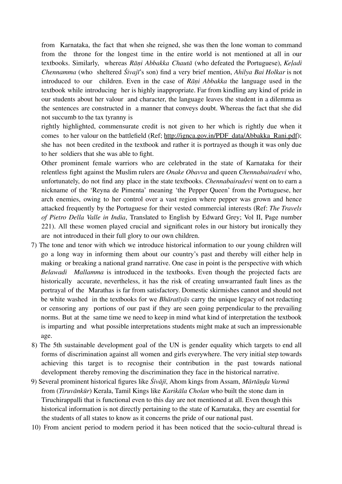from Karnataka, the fact that when she reigned, she was then the lone woman to command from the throne for the longest time in the entire world is not mentioned at all in our textbooks. Similarly, whereas *Rāṇi Abbakka Chautā* (who defeated the Portuguese), *Keḷadi Chennamma* (who sheltered *Śivajī*'s son) find a very brief mention, *Ahilya Bai Holkar* is not introduced to our children. Even in the case of *Rāṇi Abbakka* the language used in the textbook while introducing her is highly inappropriate. Far from kindling any kind of pride in our students about her valour and character, the language leaves the student in a dilemma as the sentences are constructed in a manner that conveys doubt. Whereas the fact that she did not succumb to the tax tyranny is

rightly highlighted, commensurate credit is not given to her which is rightly due when it comes to her valour on the battlefield (Ref; http://ignca.gov.in/PDF\_data/Abbakka\_Rani.pdf); she has not been credited in the textbook and rather it is portrayed as though it was only due to her soldiers that she was able to fight.

Other prominent female warriors who are celebrated in the state of Karnataka for their relentless fight against the Muslim rulers are *Onake Obavva* and queen *Chennabairadevi* who, unfortunately, do not find any place in the state textbooks. *Chennabairadevi* went on to earn a nickname of the 'Reyna de Pimenta' meaning 'the Pepper Queen' from the Portuguese, her arch enemies, owing to her control over a vast region where pepper was grown and hence attacked frequently by the Portuguese for their vested commercial interests (Ref: *The Travels of Pietro Della Valle in India*, Translated to English by Edward Grey; Vol II, Page number 221). All these women played crucial and significant roles in our history but ironically they are not introduced in their full glory to our own children.

- 7) The tone and tenor with which we introduce historical information to our young children will go a long way in informing them about our country's past and thereby will either help in making or breaking a national grand narrative. One case in point is the perspective with which *Belawadi Mallamma* is introduced in the textbooks. Even though the projected facts are historically accurate, nevertheless, it has the risk of creating unwarranted fault lines as the portrayal of the Marathas is far from satisfactory. Domestic skirmishes cannot and should not be white washed in the textbooks for we *Bhāratīyās* carry the unique legacy of not redacting or censoring any portions of our past if they are seen going perpendicular to the prevailing norms. But at the same time we need to keep in mind what kind of interpretation the textbook is imparting and what possible interpretations students might make at such an impressionable age.
- 8) The 5th sustainable development goal of the UN is gender equality which targets to end all forms of discrimination against all women and girls everywhere. The very initial step towards achieving this target is to recognise their contribution in the past towards national development thereby removing the discrimination they face in the historical narrative.
- 9) Several prominent historical figures like *Śivājī*, Ahom kings from Assam, *Mārtāṇḍa Varmā* from (*Tiruvānkūr*) Kerala, Tamil Kings like *Karikāla Cholan* who built the stone dam in Tiruchirappalli that is functional even to this day are not mentioned at all. Even though this historical information is not directly pertaining to the state of Karnataka, they are essential for the students of all states to know as it concerns the pride of our national past.
- 10) From ancient period to modern period it has been noticed that the socio-cultural thread is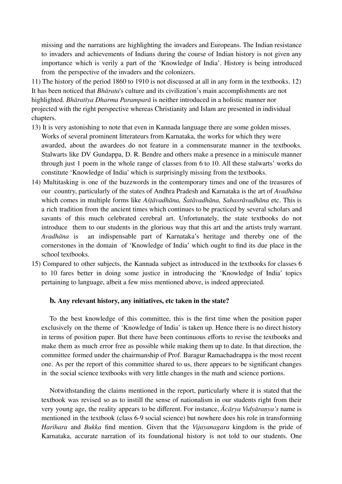missing and the narrations are highlighting the invaders and Europeans. The Indian resistance to invaders and achievements of Indians during the course of Indian history is not given any importance which is verily a part of the 'Knowledge of India'. History is being introduced from the perspective of the invaders and the colonizers.

11) The history of the period 1860 to 1910 is not discussed at all in any form in the textbooks. 12) It has been noticed that *Bhārata*'s culture and its civilization's main accomplishments are not highlighted. *Bhāratīya Dharma Paramparā* is neither introduced in a holistic manner nor projected with the right perspective whereas Christianity and Islam are presented in individual chapters.

- 13) It is very astonishing to note that even in Kannada language there are some golden misses. Works of several prominent litterateurs from Karnataka, the works for which they were awarded, about the awardees do not feature in a commensurate manner in the textbooks. Stalwarts like DV Gundappa, D. R. Bendre and others make a presence in a miniscule manner through just 1 poem in the whole range of classes from 6 to 10. All these stalwarts' works do constitute 'Knowledge of India' which is surprisingly missing from the textbooks.
- 14) Multitasking is one of the buzzwords in the contemporary times and one of the treasures of our country, particularly of the states of Andhra Pradesh and Karnataka is the art of *Avadhāna* which comes in multiple forms like *Aśṭāvadhāna, Śatāvadhāna, Sahasrāvadhāna* etc. This is a rich tradition from the ancient times which continues to be practiced by several scholars and savants of this much celebrated cerebral art. Unfortunately, the state textbooks do not introduce them to our students in the glorious way that this art and the artists truly warrant. *Avadhāna* is an indispensable part of Karnataka's heritage and thereby one of the cornerstones in the domain of 'Knowledge of India' which ought to find its due place in the school textbooks.
- 15) Compared to other subjects, the Kannada subject as introduced in the textbooks for classes 6 to 10 fares better in doing some justice in introducing the 'Knowledge of India' topics pertaining to language, albeit a few miss mentioned above, is indeed appreciated.

#### **b. Any relevant history, any initiatives, etc taken in the state?**

To the best knowledge of this committee, this is the first time when the position paper exclusively on the theme of 'Knowledge of India' is taken up. Hence there is no direct history in terms of position paper. But there have been continuous efforts to revise the textbooks and make them as much error free as possible while making them up to date. In that direction, the committee formed under the chairmanship of Prof. Baragur Ramachadrappa is the most recent one. As per the report of this committee shared to us, there appears to be significant changes in the social science textbooks with very little changes in the math and science portions.

Notwithstanding the claims mentioned in the report, particularly where it is stated that the textbook was revised so as to instill the sense of nationalism in our students right from their very young age, the reality appears to be different. For instance, *Ācāṛya Vidyāraṇya's* name is mentioned in the textbook (class 6-9 social science) but nowhere does his role in transforming *Harihara* and *Bukka* find mention. Given that the *Vijayanagara* kingdom is the pride of Karnataka, accurate narration of its foundational history is not told to our students. One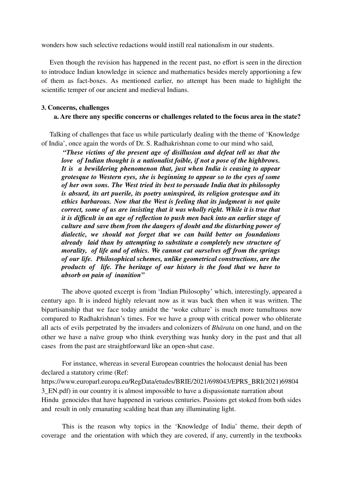wonders how such selective redactions would instill real nationalism in our students.

Even though the revision has happened in the recent past, no effort is seen in the direction to introduce Indian knowledge in science and mathematics besides merely apportioning a few of them as fact-boxes. As mentioned earlier, no attempt has been made to highlight the scientific temper of our ancient and medieval Indians.

#### **3. Concerns, challenges**

#### **a. Are there any specific concerns or challenges related to the focus area in the state?**

Talking of challenges that face us while particularly dealing with the theme of 'Knowledge of India', once again the words of Dr. S. Radhakrishnan come to our mind who said,

*"These victims of the present age of disillusion and defeat tell us that the love of Indian thought is a nationalist foible, if not a pose of the highbrows. It is a bewildering phenomenon that, just when India is ceasing to appear grotesque to Western eyes, she is beginning to appear so to the eyes of some of her own sons. The West tried its best to persuade India that its philosophy is absurd, its art puerile, its poetry uninspired, its religion grotesque and its ethics barbarous. Now that the West is feeling that its judgment is not quite correct, some of us are insisting that it was wholly right. While it is true that it is difficult in an age of reflection to push men back into an earlier stage of culture and save them from the dangers of doubt and the disturbing power of dialectic, we should not forget that we can build better on foundations already laid than by attempting to substitute a completely new structure of morality, of life and of ethics. We cannot cut ourselves off from the springs of our life. Philosophical schemes, unlike geometrical constructions, are the products of life. The heritage of our history is the food that we have to absorb on pain of inanition"*

The above quoted excerpt is from 'Indian Philosophy' which, interestingly, appeared a century ago. It is indeed highly relevant now as it was back then when it was written. The bipartisanship that we face today amidst the 'woke culture' is much more tumultuous now compared to Radhakrishnan's times. For we have a group with critical power who obliterate all acts of evils perpetrated by the invaders and colonizers of *Bhārata* on one hand, and on the other we have a naïve group who think everything was hunky dory in the past and that all cases from the past are straightforward like an open-shut case.

For instance, whereas in several European countries the holocaust denial has been declared a statutory crime (Ref: https://www.europarl.europa.eu/RegData/etudes/BRIE/2021/698043/EPRS\_BRI(2021)69804 3\_EN.pdf) in our country it is almost impossible to have a dispassionate narration about Hindu genocides that have happened in various centuries. Passions get stoked from both sides and result in only emanating scalding heat than any illuminating light.

This is the reason why topics in the 'Knowledge of India' theme, their depth of coverage and the orientation with which they are covered, if any, currently in the textbooks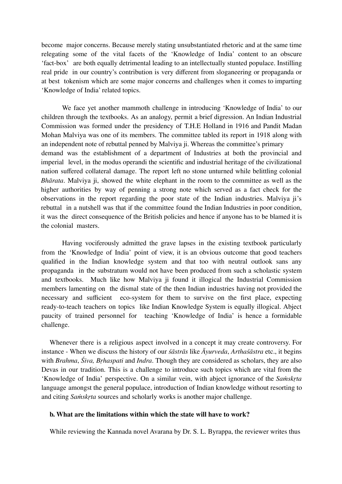become major concerns. Because merely stating unsubstantiated rhetoric and at the same time relegating some of the vital facets of the 'Knowledge of India' content to an obscure 'fact-box' are both equally detrimental leading to an intellectually stunted populace. Instilling real pride in our country's contribution is very different from sloganeering or propaganda or at best tokenism which are some major concerns and challenges when it comes to imparting 'Knowledge of India' related topics.

We face yet another mammoth challenge in introducing 'Knowledge of India' to our children through the textbooks. As an analogy, permit a brief digression. An Indian Industrial Commission was formed under the presidency of T.H.E Holland in 1916 and Pandit Madan Mohan Malviya was one of its members. The committee tabled its report in 1918 along with an independent note of rebuttal penned by Malviya ji. Whereas the committee's primary demand was the establishment of a department of Industries at both the provincial and imperial level, in the modus operandi the scientific and industrial heritage of the civilizational nation suffered collateral damage. The report left no stone unturned while belittling colonial *Bhārata*. Malviya ji, showed the white elephant in the room to the committee as well as the higher authorities by way of penning a strong note which served as a fact check for the observations in the report regarding the poor state of the Indian industries. Malviya ji's rebuttal in a nutshell was that if the committee found the Indian Industries in poor condition, it was the direct consequence of the British policies and hence if anyone has to be blamed it is the colonial masters.

Having vociferously admitted the grave lapses in the existing textbook particularly from the 'Knowledge of India' point of view, it is an obvious outcome that good teachers qualified in the Indian knowledge system and that too with neutral outlook sans any propaganda in the substratum would not have been produced from such a scholastic system and textbooks. Much like how Malviya ji found it illogical the Industrial Commission members lamenting on the dismal state of the then Indian industries having not provided the necessary and sufficient eco-system for them to survive on the first place, expecting ready-to-teach teachers on topics like Indian Knowledge System is equally illogical. Abject paucity of trained personnel for teaching 'Knowledge of India' is hence a formidable challenge.

Whenever there is a religious aspect involved in a concept it may create controversy. For instance - When we discuss the history of our *śāstrās* like *Āyurveda*, *Arthaśāstra* etc., it begins with *Brahma*, *Śiva, Bṛhaspati* and *Indra*. Though they are considered as scholars, they are also Devas in our tradition. This is a challenge to introduce such topics which are vital from the 'Knowledge of India' perspective. On a similar vein, with abject ignorance of the *Saṁskṛta* language amongst the general populace, introduction of Indian knowledge without resorting to and citing *Saṁskṛta* sources and scholarly works is another major challenge.

#### **b. What are the limitations within which the state will have to work?**

While reviewing the Kannada novel Avarana by Dr. S. L. Byrappa, the reviewer writes thus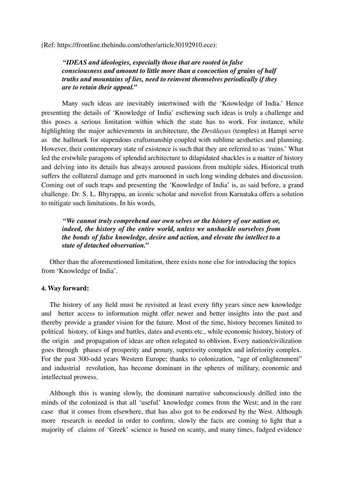(Ref: https://frontline.thehindu.com/other/article30192910.ece):

#### *"IDEAS and ideologies, especially those that are rooted in false consciousness and amount to little more than a concoction of grains of half truths and mountains of lies, need to reinvent themselves periodically if they are to retain their appeal."*

Many such ideas are inevitably intertwined with the 'Knowledge of India.' Hence presenting the details of 'Knowledge of India' eschewing such ideas is truly a challenge and this poses a serious limitation within which the state has to work. For instance, while highlighting the major achievements in architecture, the *Devālayas* (temples) at Hampi serve as the hallmark for stupendous craftsmanship coupled with sublime aesthetics and planning. However, their contemporary state of existence is such that they are referred to as 'ruins.' What led the erstwhile paragons of splendid architecture to dilapidated shackles is a matter of history and delving into its details has always aroused passions from multiple sides. Historical truth suffers the collateral damage and gets marooned in such long winding debates and discussion. Coming out of such traps and presenting the 'Knowledge of India' is, as said before, a grand challenge. Dr. S. L. Bhyrappa, an iconic scholar and novelist from Karnataka offers a solution to mitigate such limitations. In his words,

*"We cannot truly comprehend our own selves or the history of our nation or, indeed, the history of the entire world, unless we unshackle ourselves from the bonds of false knowledge, desire and action, and elevate the intellect to a state of detached observation."*

Other than the aforementioned limitation, there exists none else for introducing the topics from 'Knowledge of India'.

#### **4. Way forward:**

The history of any field must be revisited at least every fifty years since new knowledge and better access to information might offer newer and better insights into the past and thereby provide a grander vision for the future. Most of the time, history becomes limited to political history, of kings and battles, dates and events etc., while economic history, history of the origin and propagation of ideas are often relegated to oblivion. Every nation/civilization goes through phases of prosperity and penury, superiority complex and inferiority complex. For the past 300-odd years Western Europe; thanks to colonization, "age of enlightenment" and industrial revolution, has become dominant in the spheres of military, economic and intellectual prowess.

Although this is waning slowly, the dominant narrative subconsciously drilled into the minds of the colonized is that all 'useful' knowledge comes from the West; and in the rare case that it comes from elsewhere, that has also got to be endorsed by the West. Although more research is needed in order to confirm, slowly the facts are coming to light that a majority of claims of 'Greek' science is based on scanty, and many times, fudged evidence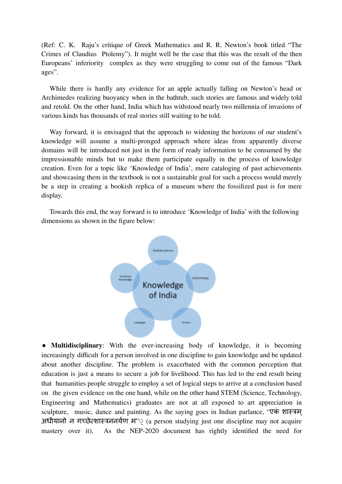(Ref: C. K. Raju's critique of Greek Mathematics and R. R. Newton's book titled "The Crimes of Claudius Ptolemy"). It might well be the case that this was the result of the then Europeans' inferiority complex as they were struggling to come out of the famous "Dark ages".

While there is hardly any evidence for an apple actually falling on Newton's head or Archimedes realizing buoyancy when in the bathtub, such stories are famous and widely told and retold. On the other hand, India which has withstood nearly two millennia of invasions of various kinds has thousands of real stories still waiting to be told.

Way forward, it is envisaged that the approach to widening the horizons of our student's knowledge will assume a multi-pronged approach where ideas from apparently diverse domains will be introduced not just in the form of ready information to be consumed by the impressionable minds but to make them participate equally in the process of knowledge creation. Even for a topic like 'Knowledge of India', mere cataloging of past achievements and showcasing them in the textbook is not a sustainable goal for such a process would merely be a step in creating a bookish replica of a museum where the fossilized past is for mere display.

Towards this end, the way forward is to introduce 'Knowledge of India' with the following dimensions as shown in the figure below:



● **Multidisciplinary**: With the ever-increasing body of knowledge, it is becoming increasingly difficult for a person involved in one discipline to gain knowledge and be updated about another discipline. The problem is exacerbated with the common perception that education is just a means to secure a job for livelihood. This has led to the end result being that humanities people struggle to employ a set of logical steps to arrive at a conclusion based on the given evidence on the one hand, while on the other hand STEM (Science, Technology, Engineering and Mathematics) graduates are not at all exposed to art appreciation in sculpture, music, dance and painting. As the saying goes in Indian parlance, "एकं शास्त्रम ् अधीयानो न गच्छेत्शास्त्रननर्यण म" $\odot$  (a person studying just one discipline may not acquire mastery over it). As the NEP-2020 document has rightly identified the need for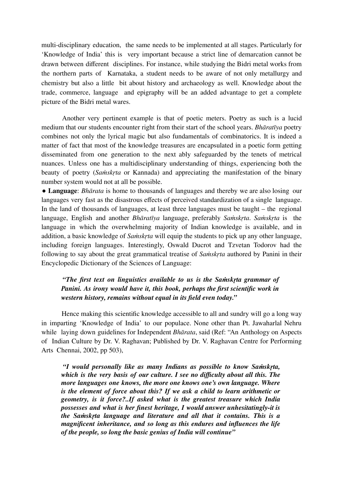multi-disciplinary education, the same needs to be implemented at all stages. Particularly for 'Knowledge of India' this is very important because a strict line of demarcation cannot be drawn between different disciplines. For instance, while studying the Bidri metal works from the northern parts of Karnataka, a student needs to be aware of not only metallurgy and chemistry but also a little bit about history and archaeology as well. Knowledge about the trade, commerce, language and epigraphy will be an added advantage to get a complete picture of the Bidri metal wares.

Another very pertinent example is that of poetic meters. Poetry as such is a lucid medium that our students encounter right from their start of the school years. *Bhāratīya* poetry combines not only the lyrical magic but also fundamentals of combinatorics. It is indeed a matter of fact that most of the knowledge treasures are encapsulated in a poetic form getting disseminated from one generation to the next ably safeguarded by the tenets of metrical nuances. Unless one has a multidisciplinary understanding of things, experiencing both the beauty of poetry (*Saṁskṛta* or Kannada) and appreciating the manifestation of the binary number system would not at all be possible.

● **Language**: *Bhārata* is home to thousands of languages and thereby we are also losing our languages very fast as the disastrous effects of perceived standardization of a single language. In the land of thousands of languages, at least three languages must be taught – the regional language, English and another *Bhāratīya* language, preferably *Saṁskṛta*. *Saṁskṛta* is the language in which the overwhelming majority of Indian knowledge is available, and in addition, a basic knowledge of *Saṁskṛta* will equip the students to pick up any other language, including foreign languages. Interestingly, Oswald Ducrot and Tzvetan Todorov had the following to say about the great grammatical treatise of *Saṁskṛta* authored by Panini in their Encyclopedic Dictionary of the Sciences of Language:

## *"The first text on linguistics available to us is the Saṁskṛta grammar of Panini. As irony would have it, this book, perhaps the first scientific work in western history, remains without equal in its field even today."*

Hence making this scientific knowledge accessible to all and sundry will go a long way in imparting 'Knowledge of India' to our populace. None other than Pt. Jawaharlal Nehru while laying down guidelines for Independent *Bhārata*, said (Ref: "An Anthology on Aspects of Indian Culture by Dr. V. Raghavan; Published by Dr. V. Raghavan Centre for Performing Arts Chennai, 2002, pp 503),

*"I would personally like as many Indians as possible to know Saṁskṛta, which is the very basis of our culture. I see no difficulty about all this. The more languages one knows, the more one knows one's own language. Where is the element of force about this? If we ask a child to learn arithmetic or geometry, is it force?..If asked what is the greatest treasure which India possesses and what is her finest heritage, I would answer unhesitatingly-it is the Saṁskṛta language and literature and all that it contains. This is a magnificent inheritance, and so long as this endures and influences the life of the people, so long the basic genius of India will continue"*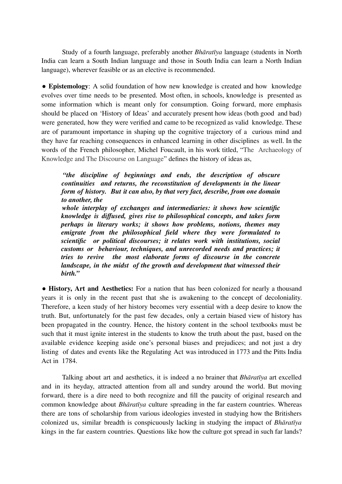Study of a fourth language, preferably another *Bhāratīya* language (students in North India can learn a South Indian language and those in South India can learn a North Indian language), wherever feasible or as an elective is recommended.

● **Epistemology**: A solid foundation of how new knowledge is created and how knowledge evolves over time needs to be presented. Most often, in schools, knowledge is presented as some information which is meant only for consumption. Going forward, more emphasis should be placed on 'History of Ideas' and accurately present how ideas (both good and bad) were generated, how they were verified and came to be recognized as valid knowledge. These are of paramount importance in shaping up the cognitive trajectory of a curious mind and they have far reaching consequences in enhanced learning in other disciplines as well. In the words of the French philosopher, Michel Foucault, in his work titled, "The Archaeology of Knowledge and The Discourse on Language" defines the history of ideas as,

*"the discipline of beginnings and ends, the description of obscure continuities and returns, the reconstitution of developments in the linear form of history. But it can also, by that very fact, describe, from one domain to another, the*

*whole interplay of exchanges and intermediaries: it shows how scientific knowledge is diffused, gives rise to philosophical concepts, and takes form perhaps in literary works; it shows how problems, notions, themes may emigrate from the philosophical field where they were formulated to scientific or political discourses; it relates work with institutions, social customs or behaviour, techniques, and unrecorded needs and practices; it tries to revive the most elaborate forms of discourse in the concrete landscape, in the midst of the growth and development that witnessed their birth."*

● **History, Art and Aesthetics:** For a nation that has been colonized for nearly a thousand years it is only in the recent past that she is awakening to the concept of decoloniality. Therefore, a keen study of her history becomes very essential with a deep desire to know the truth. But, unfortunately for the past few decades, only a certain biased view of history has been propagated in the country. Hence, the history content in the school textbooks must be such that it must ignite interest in the students to know the truth about the past, based on the available evidence keeping aside one's personal biases and prejudices; and not just a dry listing of dates and events like the Regulating Act was introduced in 1773 and the Pitts India Act in 1784.

Talking about art and aesthetics, it is indeed a no brainer that *Bhāratīya* art excelled and in its heyday, attracted attention from all and sundry around the world. But moving forward, there is a dire need to both recognize and fill the paucity of original research and common knowledge about *Bhāratīya* culture spreading in the far eastern countries. Whereas there are tons of scholarship from various ideologies invested in studying how the Britishers colonized us, similar breadth is conspicuously lacking in studying the impact of *Bhāratīya* kings in the far eastern countries. Questions like how the culture got spread in such far lands?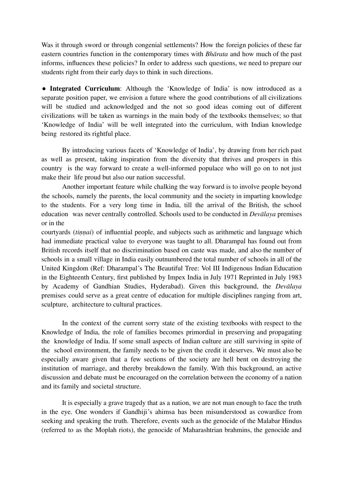Was it through sword or through congenial settlements? How the foreign policies of these far eastern countries function in the contemporary times with *Bhārata* and how much of the past informs, influences these policies? In order to address such questions, we need to prepare our students right from their early days to think in such directions.

● **Integrated Curriculum**: Although the 'Knowledge of India' is now introduced as a separate position paper, we envision a future where the good contributions of all civilizations will be studied and acknowledged and the not so good ideas coming out of different civilizations will be taken as warnings in the main body of the textbooks themselves; so that 'Knowledge of India' will be well integrated into the curriculum, with Indian knowledge being restored its rightful place.

By introducing various facets of 'Knowledge of India', by drawing from her rich past as well as present, taking inspiration from the diversity that thrives and prospers in this country is the way forward to create a well-informed populace who will go on to not just make their life proud but also our nation successful.

Another important feature while chalking the way forward is to involve people beyond the schools, namely the parents, the local community and the society in imparting knowledge to the students. For a very long time in India, till the arrival of the British, the school education was never centrally controlled. Schools used to be conducted in *Devālaya* premises or in the

courtyards *(tinnai)* of influential people, and subjects such as arithmetic and language which had immediate practical value to everyone was taught to all. Dharampal has found out from British records itself that no discrimination based on caste was made, and also the number of schools in a small village in India easily outnumbered the total number of schools in all of the United Kingdom (Ref: Dharampal's The Beautiful Tree: Vol III Indigenous Indian Education in the Eighteenth Century, first published by Impex India in July 1971 Reprinted in July 1983 by Academy of Gandhian Studies, Hyderabad). Given this background, the *Devālaya* premises could serve as a great centre of education for multiple disciplines ranging from art, sculpture, architecture to cultural practices.

In the context of the current sorry state of the existing textbooks with respect to the Knowledge of India, the role of families becomes primordial in preserving and propagating the knowledge of India. If some small aspects of Indian culture are still surviving in spite of the school environment, the family needs to be given the credit it deserves. We must also be especially aware given that a few sections of the society are hell bent on destroying the institution of marriage, and thereby breakdown the family. With this background, an active discussion and debate must be encouraged on the correlation between the economy of a nation and its family and societal structure.

It is especially a grave tragedy that as a nation, we are not man enough to face the truth in the eye. One wonders if Gandhiji's ahimsa has been misunderstood as cowardice from seeking and speaking the truth. Therefore, events such as the genocide of the Malabar Hindus (referred to as the Moplah riots), the genocide of Maharashtrian brahmins, the genocide and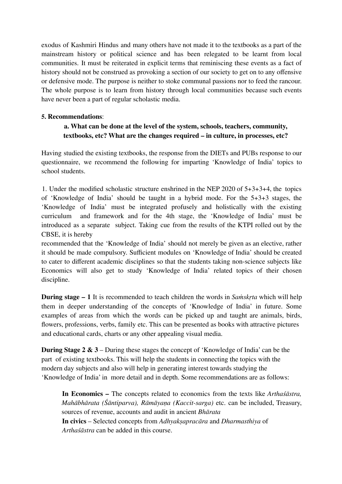exodus of Kashmiri Hindus and many others have not made it to the textbooks as a part of the mainstream history or political science and has been relegated to be learnt from local communities. It must be reiterated in explicit terms that reminiscing these events as a fact of history should not be construed as provoking a section of our society to get on to any offensive or defensive mode. The purpose is neither to stoke communal passions nor to feed the rancour. The whole purpose is to learn from history through local communities because such events have never been a part of regular scholastic media.

#### **5. Recommendations**:

## **a. What can be done at the level of the system, schools, teachers, community, textbooks, etc? What are the changes required – in culture, in processes, etc?**

Having studied the existing textbooks, the response from the DIETs and PUBs response to our questionnaire, we recommend the following for imparting 'Knowledge of India' topics to school students.

1. Under the modified scholastic structure enshrined in the NEP 2020 of 5+3+3+4, the topics of 'Knowledge of India' should be taught in a hybrid mode. For the 5+3+3 stages, the 'Knowledge of India' must be integrated profusely and holistically with the existing curriculum and framework and for the 4th stage, the 'Knowledge of India' must be introduced as a separate subject. Taking cue from the results of the KTPI rolled out by the CBSE, it is hereby

recommended that the 'Knowledge of India' should not merely be given as an elective, rather it should be made compulsory. Sufficient modules on 'Knowledge of India' should be created to cater to different academic disciplines so that the students taking non-science subjects like Economics will also get to study 'Knowledge of India' related topics of their chosen discipline.

**During stage – 1** It is recommended to teach children the words in *Saṁskṛta* which will help them in deeper understanding of the concepts of 'Knowledge of India' in future. Some examples of areas from which the words can be picked up and taught are animals, birds, flowers, professions, verbs, family etc. This can be presented as books with attractive pictures and educational cards, charts or any other appealing visual media.

**During Stage 2 & 3** – During these stages the concept of 'Knowledge of India' can be the part of existing textbooks. This will help the students in connecting the topics with the modern day subjects and also will help in generating interest towards studying the 'Knowledge of India' in more detail and in depth. Some recommendations are as follows:

**In Economics –** The concepts related to economics from the texts like *Arthaśāstra, Mahābhārata (Śāntiparva), Rāmāyaṇa (Kaccit-sarga)* etc. can be included, Treasury, sources of revenue, accounts and audit in ancient *Bhārata* **In civics** – Selected concepts from *Adhyakṣapracāra* and *Dharmasthiya* of *Arthaśāstra* can be added in this course.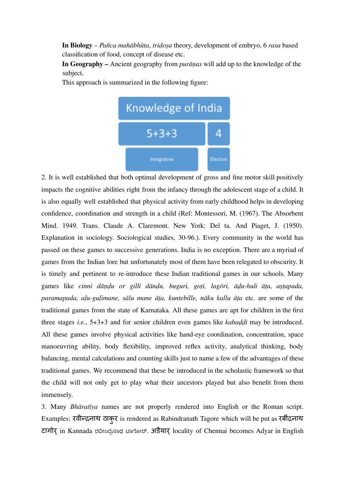**In Biology** – *Pañca mahābhūta*, *tridoṣa* theory, development of embryo, 6 *rasa* based classification of food, concept of disease etc.

**In Geography –** Ancient geography from *purāṇas* will add up to the knowledge of the subject.

This approach is summarized in the following figure:



2. It is well established that both optimal development of gross and fine motor skill positively impacts the cognitive abilities right from the infancy through the adolescent stage of a child. It is also equally well established that physical activity from early childhood helps in developing confidence, coordination and strength in a child (Ref: Montessori, M. (1967). The Absorbent Mind. 1949. Trans. Claude A. Claremont. New York: Del ta. And Piaget, J. (1950). Explanation in sociology. Sociological studies, 30-96.). Every community in the world has passed on these games to successive generations. India is no exception. There are a myriad of games from the Indian lore but unfortunately most of them have been relegated to obscurity. It is timely and pertinent to re-introduce these Indian traditional games in our schools. Many games like cinni dāņdu or gilli dāndu, buguri, goți, lagōri, ādu-huli āta, astapada, *paramapada, aḷu-guḷimane, sālu mane āṭa, kuntebille, nāku kallu āṭa* etc. are some of the traditional games from the state of Karnataka. All these games are apt for children in the first three stages *i.e.*, 5+3+3 and for senior children even games like *kabaḍḍi* may be introduced. All these games involve physical activities like hand-eye coordination, concentration, space manoeuvring ability, body flexibility, improved reflex activity, analytical thinking, body balancing, mental calculations and counting skills just to name a few of the advantages of these traditional games. We recommend that these be introduced in the scholastic framework so that the child will not only get to play what their ancestors played but also benefit from them immensely.

3. Many *Bhāratīya* names are not properly rendered into English or the Roman script. Examples: रवीन्द्रनाथ ठाकुर is rendered as Rabindranath Tagore which will be put as रबींद्रनाथ टागोर in Kannada ರಬೀಂದ್ರನಾಥ ಟಾಗೋರ್. अडेयार locality of Chennai becomes Adyar in English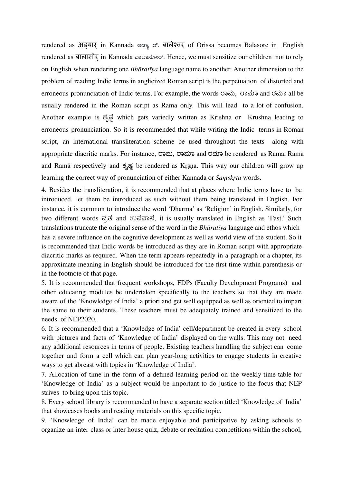rendered as अड्यार् in Kannada ಅಡ್ಯಾ ರ್. बालेश्वर of Orissa becomes Balasore in English rendered as बालासोर in Kannada ಬಾಲಾಸೋರ್. Hence, we must sensitize our children not to rely on English when rendering one *Bhāratīya* language name to another. Another dimension to the problem of reading Indic terms in anglicized Roman script is the perpetuation of distorted and erroneous pronunciation of Indic terms. For example, the words ರಾಮ, ರಾಮಾ and ರಮಾ all be usually rendered in the Roman script as Rama only. This will lead to a lot of confusion. Another example is ಕೃಷ್ಣ which gets variedly written as Krishna or Krushna leading to erroneous pronunciation. So it is recommended that while writing the Indic terms in Roman script, an international transliteration scheme be used throughout the texts along with appropriate diacritic marks. For instance, ರಾಮ, ರಾಮಾ and ರಮಾ be rendered as Rāma, Rāmā and Ramā respectively and ಕೃಷ್ಣbe rendered as Kṛṣṇa. This way our children will grow up learning the correct way of pronunciation of either Kannada or *Saṃskṛta* words.

4. Besides the transliteration, it is recommended that at places where Indic terms have to be introduced, let them be introduced as such without them being translated in English. For instance, it is common to introduce the word 'Dharma' as 'Religion' in English. Similarly, for two different words ವ್ರತ and ಉಪವಾಸ, it is usually translated in English as 'Fast.' Such translations truncate the original sense of the word in the *Bhāratīya* language and ethos which has a severe influence on the cognitive development as well as world view of the student. So it is recommended that Indic words be introduced as they are in Roman script with appropriate diacritic marks as required. When the term appears repeatedly in a paragraph or a chapter, its approximate meaning in English should be introduced for the first time within parenthesis or in the footnote of that page.

5. It is recommended that frequent workshops, FDPs (Faculty Development Programs) and other educating modules be undertaken specifically to the teachers so that they are made aware of the 'Knowledge of India' a priori and get well equipped as well as oriented to impart the same to their students. These teachers must be adequately trained and sensitized to the needs of NEP2020.

6. It is recommended that a 'Knowledge of India' cell/department be created in every school with pictures and facts of 'Knowledge of India' displayed on the walls. This may not need any additional resources in terms of people. Existing teachers handling the subject can come together and form a cell which can plan year-long activities to engage students in creative ways to get abreast with topics in 'Knowledge of India'.

7. Allocation of time in the form of a defined learning period on the weekly time-table for 'Knowledge of India' as a subject would be important to do justice to the focus that NEP strives to bring upon this topic.

8. Every school library is recommended to have a separate section titled 'Knowledge of India' that showcases books and reading materials on this specific topic.

9. 'Knowledge of India' can be made enjoyable and participative by asking schools to organize an inter class or inter house quiz, debate or recitation competitions within the school,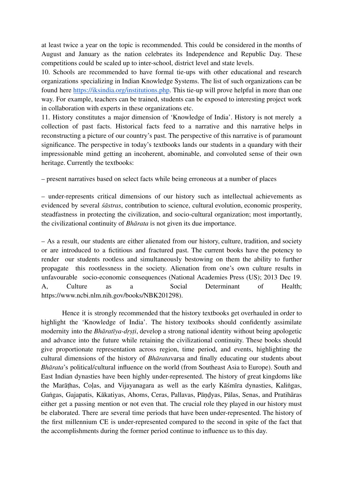at least twice a year on the topic is recommended. This could be considered in the months of August and January as the nation celebrates its Independence and Republic Day. These competitions could be scaled up to inter-school, district level and state levels.

10. Schools are recommended to have formal tie-ups with other educational and research organizations specializing in Indian Knowledge Systems. The list of such organizations can be found here https://iksindia.org/institutions.php. This tie-up will prove helpful in more than one way. For example, teachers can be trained, students can be exposed to interesting project work in collaboration with experts in these organizations etc.

11. History constitutes a major dimension of 'Knowledge of India'. History is not merely a collection of past facts. Historical facts feed to a narrative and this narrative helps in reconstructing a picture of our country's past. The perspective of this narrative is of paramount significance. The perspective in today's textbooks lands our students in a quandary with their impressionable mind getting an incoherent, abominable, and convoluted sense of their own heritage. Currently the textbooks:

– present narratives based on select facts while being erroneous at a number of places

– under-represents critical dimensions of our history such as intellectual achievements as evidenced by several *śāstras*, contribution to science, cultural evolution, economic prosperity, steadfastness in protecting the civilization, and socio-cultural organization; most importantly, the civilizational continuity of *Bhārata* is not given its due importance.

– As a result, our students are either alienated from our history, culture, tradition, and society or are introduced to a fictitious and fractured past. The current books have the potency to render our students rootless and simultaneously bestowing on them the ability to further propagate this rootlessness in the society. Alienation from one's own culture results in unfavourable socio-economic consequences (National Academies Press (US); 2013 Dec 19. A, Culture as a Social Determinant of Health; https://www.ncbi.nlm.nih.gov/books/NBK201298).

Hence it is strongly recommended that the history textbooks get overhauled in order to highlight the 'Knowledge of India'. The history textbooks should confidently assimilate modernity into the *Bhāratīya-dṛṣṭi*, develop a strong national identity without being apologetic and advance into the future while retaining the civilizational continuity. These books should give proportionate representation across region, time period, and events, highlighting the cultural dimensions of the history of *Bhārata*varṣa and finally educating our students about *Bhārata*'s political/cultural influence on the world (from Southeast Asia to Europe). South and East Indian dynasties have been highly under-represented. The history of great kingdoms like the Marāṭhas, Coḷas, and Vijayanagara as well as the early Kāśmīra dynasties, Kaliṅgas, Gaṅgas, Gajapatis, Kākatiyas, Ahoms, Ceras, Pallavas, Pāṇḍyas, Pālas, Senas, and Pratihāras either get a passing mention or not even that. The crucial role they played in our history must be elaborated. There are several time periods that have been under-represented. The history of the first millennium CE is under-represented compared to the second in spite of the fact that the accomplishments during the former period continue to influence us to this day.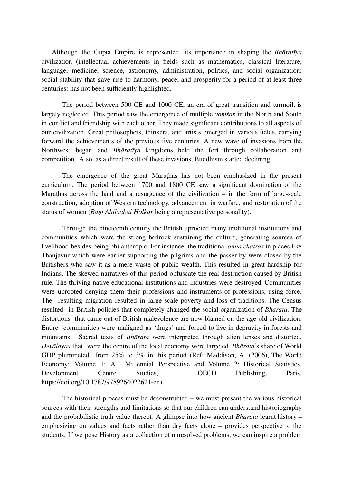Although the Gupta Empire is represented, its importance in shaping the *Bhāratīya* civilization (intellectual achievements in fields such as mathematics, classical literature, language, medicine, science, astronomy, administration, politics, and social organization; social stability that gave rise to harmony, peace, and prosperity for a period of at least three centuries) has not been sufficiently highlighted.

The period between 500 CE and 1000 CE, an era of great transition and turmoil, is largely neglected. This period saw the emergence of multiple *vaṃśas* in the North and South in conflict and friendship with each other. They made significant contributions to all aspects of our civilization. Great philosophers, thinkers, and artists emerged in various fields, carrying forward the achievements of the previous five centuries. A new wave of invasions from the Northwest began and *Bhāratīya* kingdoms held the fort through collaboration and competition. Also, as a direct result of these invasions, Buddhism started declining.

The emergence of the great Marāṭhas has not been emphasized in the present curriculum. The period between 1700 and 1800 CE saw a significant domination of the Marāthas across the land and a resurgence of the civilization  $-$  in the form of large-scale construction, adoption of Western technology, advancement in warfare, and restoration of the status of women (*Rāṇī Ahilyabai Holkar* being a representative personality).

Through the nineteenth century the British uprooted many traditional institutions and communities which were the strong bedrock sustaining the culture, generating sources of livelihood besides being philanthropic. For instance, the traditional *anna chatras* in places like Thanjavur which were earlier supporting the pilgrims and the passer-by were closed by the Britishers who saw it as a mere waste of public wealth. This resulted in great hardship for Indians. The skewed narratives of this period obfuscate the real destruction caused by British rule. The thriving native educational institutions and industries were destroyed. Communities were uprooted denying them their professions and instruments of professions, using force. The resulting migration resulted in large scale poverty and loss of traditions. The Census resulted in British policies that completely changed the social organization of *Bhārata*. The distortions that came out of British malevolence are now blamed on the age-old civilization. Entire communities were maligned as 'thugs' and forced to live in depravity in forests and mountains. Sacred texts of *Bhārata* were interpreted through alien lenses and distorted. *Devālayas* that were the centre of the local economy were targeted. *Bhārata*'s share of World GDP plummeted from 25% to 3% in this period (Ref: Maddison, A. (2006), The World Economy: Volume 1: A Millennial Perspective and Volume 2: Historical Statistics, Development Centre Studies, OECD Publishing, Paris, https://doi.org/10.1787/9789264022621-en).

The historical process must be deconstructed – we must present the various historical sources with their strengths and limitations so that our children can understand historiography and the probabilistic truth value thereof. A glimpse into how ancient *Bhārata* learnt history – emphasizing on values and facts rather than dry facts alone – provides perspective to the students. If we pose History as a collection of unresolved problems, we can inspire a problem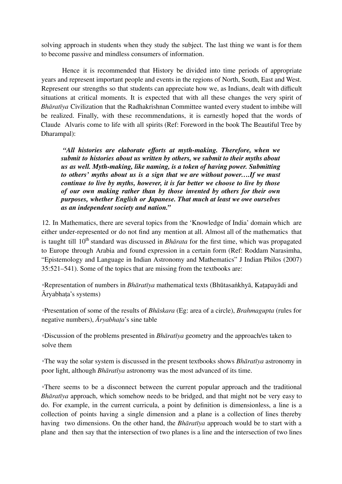solving approach in students when they study the subject. The last thing we want is for them to become passive and mindless consumers of information.

Hence it is recommended that History be divided into time periods of appropriate years and represent important people and events in the regions of North, South, East and West. Represent our strengths so that students can appreciate how we, as Indians, dealt with difficult situations at critical moments. It is expected that with all these changes the very spirit of *Bhāratīya* Civilization that the Radhakrishnan Committee wanted every student to imbibe will be realized. Finally, with these recommendations, it is earnestly hoped that the words of Claude Alvaris come to life with all spirits (Ref: Foreword in the book The Beautiful Tree by Dharampal):

*"All histories are elaborate efforts at myth-making. Therefore, when we submit to histories about us written by others, we submit to their myths about us as well. Myth-making, like naming, is a token of having power. Submitting to others' myths about us is a sign that we are without power….If we must continue to live by myths, however, it is far better we choose to live by those of our own making rather than by those invented by others for their own purposes, whether English or Japanese. That much at least we owe ourselves as an independent society and nation."*

12. In Mathematics, there are several topics from the 'Knowledge of India' domain which are either under-represented or do not find any mention at all. Almost all of the mathematics that is taught till 10<sup>th</sup> standard was discussed in *Bhārata* for the first time, which was propagated to Europe through Arabia and found expression in a certain form (Ref: Roddam Narasimha, "Epistemology and Language in Indian Astronomy and Mathematics" J Indian Philos (2007) 35:521–541). Some of the topics that are missing from the textbooks are:

◦Representation of numbers in *Bhāratīya* mathematical texts (Bhūtasaṅkhyā, Kaṭapayādi and Āryabhaṭa's systems)

◦Presentation of some of the results of *Bhāskara* (Eg: area of a circle), *Brahmagupta* (rules for negative numbers), *Āryabhaṭa*'s sine table

◦Discussion of the problems presented in *Bhāratīya* geometry and the approach/es taken to solve them

◦The way the solar system is discussed in the present textbooks shows *Bhāratīya* astronomy in poor light, although *Bhāratīya* astronomy was the most advanced of its time.

◦There seems to be a disconnect between the current popular approach and the traditional *Bhāratīya* approach, which somehow needs to be bridged, and that might not be very easy to do. For example, in the current curricula, a point by definition is dimensionless, a line is a collection of points having a single dimension and a plane is a collection of lines thereby having two dimensions. On the other hand, the *Bhāratīya* approach would be to start with a plane and then say that the intersection of two planes is a line and the intersection of two lines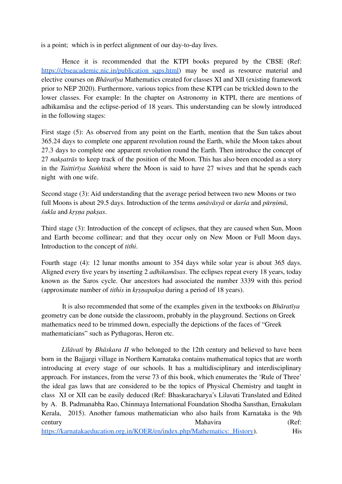is a point; which is in perfect alignment of our day-to-day lives.

Hence it is recommended that the KTPI books prepared by the CBSE (Ref: https://cbseacademic.nic.in/publication\_sqps.html) may be used as resource material and elective courses on *Bhāratīya* Mathematics created for classes XI and XII (existing framework prior to NEP 2020). Furthermore, various topics from these KTPI can be trickled down to the lower classes. For example: In the chapter on Astronomy in KTPI, there are mentions of adhikamāsa and the eclipse-period of 18 years. This understanding can be slowly introduced in the following stages:

First stage (5): As observed from any point on the Earth, mention that the Sun takes about 365.24 days to complete one apparent revolution round the Earth, while the Moon takes about 27.3 days to complete one apparent revolution round the Earth. Then introduce the concept of 27 *nakṣatrās* to keep track of the position of the Moon. This has also been encoded as a story in the *Taittirīya Saṁhitā* where the Moon is said to have 27 wives and that he spends each night with one wife.

Second stage (3): Aid understanding that the average period between two new Moons or two full Moons is about 29.5 days. Introduction of the terms *amāvāsyā* or *darśa* and *pūrṇimā*, *śukla* and *kṛṣṇa pakṣas*.

Third stage (3): Introduction of the concept of eclipses, that they are caused when Sun, Moon and Earth become collinear; and that they occur only on New Moon or Full Moon days. Introduction to the concept of *tithi*.

Fourth stage (4): 12 lunar months amount to 354 days while solar year is about 365 days. Aligned every five years by inserting 2 *adhikamāsas*. The eclipses repeat every 18 years, today known as the Saros cycle. Our ancestors had associated the number 3339 with this period (approximate number of *tithis* in *kṛṣṇapakṣa* during a period of 18 years).

It is also recommended that some of the examples given in the textbooks on *Bhāratīya* geometry can be done outside the classroom, probably in the playground. Sections on Greek mathematics need to be trimmed down, especially the depictions of the faces of "Greek mathematicians" such as Pythagoras, Heron etc.

*Līlāvatī* by *Bhāskara II* who belonged to the 12th century and believed to have been born in the Bajjargi village in Northern Karnataka contains mathematical topics that are worth introducing at every stage of our schools. It has a multidisciplinary and interdisciplinary approach. For instances, from the verse 73 of this book, which enumerates the 'Rule of Three' the ideal gas laws that are considered to be the topics of Physical Chemistry and taught in class XI or XII can be easily deduced (Ref: Bhaskaracharya's Lilavati Translated and Edited by A. B. Padmanabha Rao, Chinmaya International Foundation Shodha Sansthan, Ernakulam Kerala, 2015). Another famous mathematician who also hails from Karnataka is the 9th century **Mahavira** (Ref:

[https://karnatakaeducation.org.in/KOER/en/index.php/Mathematics:\\_History\)](https://karnatakaeducation.org.in/KOER/en/index.php/Mathematics:_History). His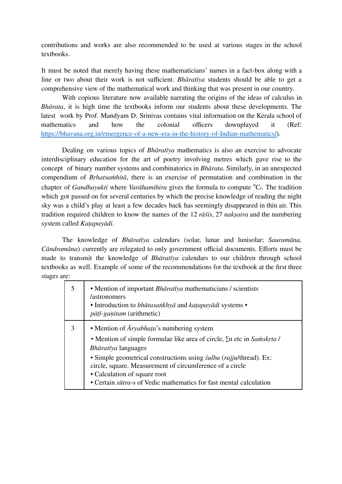contributions and works are also recommended to be used at various stages in the school textbooks.

It must be noted that merely having these mathematicians' names in a fact-box along with a line or two about their work is not sufficient. *Bhāratīya* students should be able to get a comprehensive view of the mathematical work and thinking that was present in our country.

With copious literature now available narrating the origins of the ideas of calculus in *Bhārata*, it is high time the textbooks inform our students about these developments. The latest work by Prof. Mandyam D. Srinivas contains vital information on the Kerala school of mathematics and how the colonial officers downplayed it (Ref: https://bhavana.org.in/emergence-of-a-new-era-in-the-history-of-Indian-mathematics/).

Dealing on various topics of *Bhāratīya* mathematics is also an exercise to advocate interdisciplinary education for the art of poetry involving metres which gave rise to the concept of binary number systems and combinatorics in *Bhārata*. Similarly, in an unexpected compendium of *Bṛhatsaṁhitā*, there is an exercise of permutation and combination in the chapter of *Gandhayukti* where *Varāhamihira* gives the formula to compute <sup>n</sup>C<sub>r</sub>. The tradition which got passed on for several centuries by which the precise knowledge of reading the night sky was a child's play at least a few decades back has seemingly disappeared in thin air. This tradition required children to know the names of the 12 *rāśis*, 27 *nakṣatra* and the numbering system called *Kaṭapayādi*.

The knowledge of *Bhāratīya* calendars (solar, lunar and lunisolar; *Sauramāna, Cāndramāna*) currently are relegated to only government official documents. Efforts must be made to transmit the knowledge of *Bhāratīya* calendars to our children through school textbooks as well. Example of some of the recommendations for the textbook at the first three stages are:

| • Mention of important <i>Bhāratīya</i> mathematicians / scientists<br>/astronomers<br>• Introduction to bhūtasankhyā and katapayādi systems •<br><i>pātī-ganitam</i> (arithmetic)                                                                                                                                                                                                                                 |
|--------------------------------------------------------------------------------------------------------------------------------------------------------------------------------------------------------------------------------------------------------------------------------------------------------------------------------------------------------------------------------------------------------------------|
| • Mention of $\bar{A}ryabhata's$ numbering system<br>• Mention of simple formulae like area of circle, $\Sigma$ n etc in Samskrta l<br>Bhāratīya languages<br>• Simple geometrical constructions using <i>sulba</i> ( <i>rajjul</i> thread). Ex:<br>circle, square. Measurement of circumference of a circle<br>• Calculation of square root<br>• Certain sūtra-s of Vedic mathematics for fast mental calculation |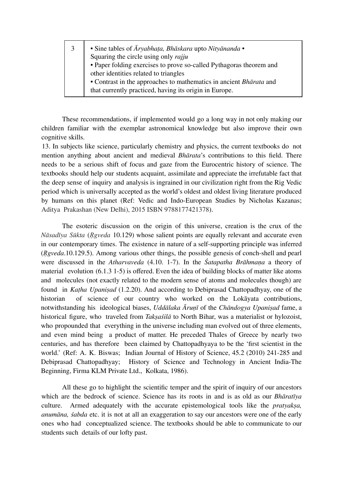| 3 | • Sine tables of Āryabhaṭa, Bhāskara upto Nityānanda •              |  |  |
|---|---------------------------------------------------------------------|--|--|
|   | Squaring the circle using only rajju                                |  |  |
|   | • Paper folding exercises to prove so-called Pythagoras theorem and |  |  |
|   | other identities related to triangles                               |  |  |
|   | • Contrast in the approaches to mathematics in ancient Bhārata and  |  |  |
|   | that currently practiced, having its origin in Europe.              |  |  |

These recommendations, if implemented would go a long way in not only making our children familiar with the exemplar astronomical knowledge but also improve their own cognitive skills.

13. In subjects like science, particularly chemistry and physics, the current textbooks do not mention anything about ancient and medieval *Bhārata*'s contributions to this field. There needs to be a serious shift of focus and gaze from the Eurocentric history of science. The textbooks should help our students acquaint, assimilate and appreciate the irrefutable fact that the deep sense of inquiry and analysis is ingrained in our civilization right from the Rig Vedic period which is universally accepted as the world's oldest and oldest living literature produced by humans on this planet (Ref: Vedic and Indo-European Studies by Nicholas Kazanas; Aditya Prakashan (New Delhi), 2015 ISBN 9788177421378).

The esoteric discussion on the origin of this universe, creation is the crux of the *Nāsadīya Sūkta* (*Ṛgveda* 10.129) whose salient points are equally relevant and accurate even in our contemporary times. The existence in nature of a self-supporting principle was inferred (*Ṛgveda*.10.129.5). Among various other things, the possible genesis of conch-shell and pearl were discussed in the *Atharvaveda* (4.10. 1-7). In the *Śatapatha Brāhmaṇa* a theory of material evolution (6.1.3 1-5) is offered. Even the idea of building blocks of matter like atoms and molecules (not exactly related to the modern sense of atoms and molecules though) are found in *Kaṭha Upaniṣad* (1.2.20). And according to Debiprasad Chattopadhyay, one of the historian of science of our country who worked on the Lokāyata contributions, notwithstanding his ideological biases, *Uddālaka Āruṇī* of the *Chāndogya Upaniṣad* fame, a historical figure, who traveled from *Takṣaśilā* to North Bihar, was a materialist or hylozoist, who propounded that everything in the universe including man evolved out of three elements, and even mind being a product of matter. He preceded Thales of Greece by nearly two centuries, and has therefore been claimed by Chattopadhyaya to be the 'first scientist in the world.' (Ref: A. K. Biswas; Indian Journal of History of Science, 45.2 (2010) 241-285 and Debiprasad Chattopadhyay; History of Science and Technology in Ancient India-The Beginning, Firma KLM Private Ltd., Kolkata, 1986).

All these go to highlight the scientific temper and the spirit of inquiry of our ancestors which are the bedrock of science. Science has its roots in and is as old as our *Bhāratīya* culture. Armed adequately with the accurate epistemological tools like the *pratyakṣa, anumāna, śabda* etc. it is not at all an exaggeration to say our ancestors were one of the early ones who had conceptualized science. The textbooks should be able to communicate to our students such details of our lofty past.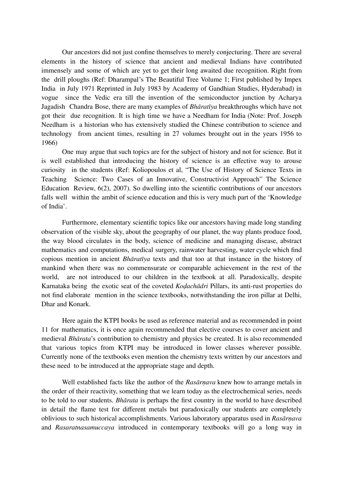Our ancestors did not just confine themselves to merely conjecturing. There are several elements in the history of science that ancient and medieval Indians have contributed immensely and some of which are yet to get their long awaited due recognition. Right from the drill ploughs (Ref: Dharampal's The Beautiful Tree Volume 1; First published by Impex India in July 1971 Reprinted in July 1983 by Academy of Gandhian Studies, Hyderabad) in vogue since the Vedic era till the invention of the semiconductor junction by Acharya Jagadish Chandra Bose, there are many examples of *Bhāratīya* breakthroughs which have not got their due recognition. It is high time we have a Needham for India (Note: Prof. Joseph Needham is a historian who has extensively studied the Chinese contribution to science and technology from ancient times, resulting in 27 volumes brought out in the years 1956 to 1966)

One may argue that such topics are for the subject of history and not for science. But it is well established that introducing the history of science is an effective way to arouse curiosity in the students (Ref: Koliopoulos et al, "The Use of History of Science Texts in Teaching Science: Two Cases of an Innovative, Constructivist Approach" The Science Education Review, 6(2), 2007). So dwelling into the scientific contributions of our ancestors falls well within the ambit of science education and this is very much part of the 'Knowledge of India'.

Furthermore, elementary scientific topics like our ancestors having made long standing observation of the visible sky, about the geography of our planet, the way plants produce food, the way blood circulates in the body, science of medicine and managing disease, abstract mathematics and computations, medical surgery, rainwater harvesting, water cycle which find copious mention in ancient *Bhāratīya* texts and that too at that instance in the history of mankind when there was no commensurate or comparable achievement in the rest of the world, are not introduced to our children in the textbook at all. Paradoxically, despite Karnataka being the exotic seat of the coveted *Koḍachādri* Pillars, its anti-rust properties do not find elaborate mention in the science textbooks, notwithstanding the iron pillar at Delhi, Dhar and Konark.

Here again the KTPI books be used as reference material and as recommended in point 11 for mathematics, it is once again recommended that elective courses to cover ancient and medieval *Bhārata*'s contribution to chemistry and physics be created. It is also recommended that various topics from KTPI may be introduced in lower classes wherever possible. Currently none of the textbooks even mention the chemistry texts written by our ancestors and these need to be introduced at the appropriate stage and depth.

Well established facts like the author of the *Rasārṇava* knew how to arrange metals in the order of their reactivity, something that we learn today as the electrochemical series, needs to be told to our students. *Bhārata* is perhaps the first country in the world to have described in detail the flame test for different metals but paradoxically our students are completely oblivious to such historical accomplishments. Various laboratory apparatus used in *Rasārṇava* and *Rasaratnasamuccaya* introduced in contemporary textbooks will go a long way in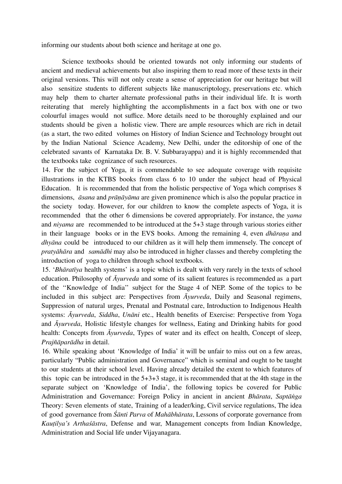informing our students about both science and heritage at one go.

Science textbooks should be oriented towards not only informing our students of ancient and medieval achievements but also inspiring them to read more of these texts in their original versions. This will not only create a sense of appreciation for our heritage but will also sensitize students to different subjects like manuscriptology, preservations etc. which may help them to charter alternate professional paths in their individual life. It is worth reiterating that merely highlighting the accomplishments in a fact box with one or two colourful images would not suffice. More details need to be thoroughly explained and our students should be given a holistic view. There are ample resources which are rich in detail (as a start, the two edited volumes on History of Indian Science and Technology brought out by the Indian National Science Academy, New Delhi, under the editorship of one of the celebrated savants of Karnataka Dr. B. V. Subbarayappa) and it is highly recommended that the textbooks take cognizance of such resources.

14. For the subject of Yoga, it is commendable to see adequate coverage with requisite illustrations in the KTBS books from class 6 to 10 under the subject head of Physical Education. It is recommended that from the holistic perspective of Yoga which comprises 8 dimensions, *āsana* and *prāṇāyāma* are given prominence which is also the popular practice in the society today. However, for our children to know the complete aspects of Yoga, it is recommended that the other 6 dimensions be covered appropriately. For instance, the *yama* and *niyama* are recommended to be introduced at the 5+3 stage through various stories either in their language books or in the EVS books. Among the remaining 4, even *dhāraṇa* and *dhyāna* could be introduced to our children as it will help them immensely. The concept of *pratyāhāra* and *samādhi* may also be introduced in higher classes and thereby completing the introduction of yoga to children through school textbooks.

15. '*Bhāratīya* health systems' is a topic which is dealt with very rarely in the texts of school education. Philosophy of *Āyurveda* and some of its salient features is recommended as a part of the ''Knowledge of India'' subject for the Stage 4 of NEP. Some of the topics to be included in this subject are: Perspectives from *Āyurveda*, Daily and Seasonal regimens, Suppression of natural urges, Prenatal and Postnatal care, Introduction to Indigenous Health systems: *Āyurveda*, *Siddha*, *Unāni* etc., Health benefits of Exercise: Perspective from Yoga and *Āyurveda*, Holistic lifestyle changes for wellness, Eating and Drinking habits for good health: Concepts from *Āyurveda*, Types of water and its effect on health, Concept of sleep, *Prajñāparādha* in detail.

16. While speaking about 'Knowledge of India' it will be unfair to miss out on a few areas, particularly "Public administration and Governance" which is seminal and ought to be taught to our students at their school level. Having already detailed the extent to which features of this topic can be introduced in the 5+3+3 stage, it is recommended that at the 4th stage in the separate subject on 'Knowledge of India', the following topics be covered for Public Administration and Governance: Foreign Policy in ancient in ancient *Bhārata*, *Saptāṅga* Theory: Seven elements of state, Training of a leader/king, Civil service regulations, The idea of good governance from *Śānti Parva* of *Mahābhārata*, Lessons of corporate governance from *Kauṭilya's Arthaśāstra*, Defense and war, Management concepts from Indian Knowledge, Administration and Social life under Vijayanagara.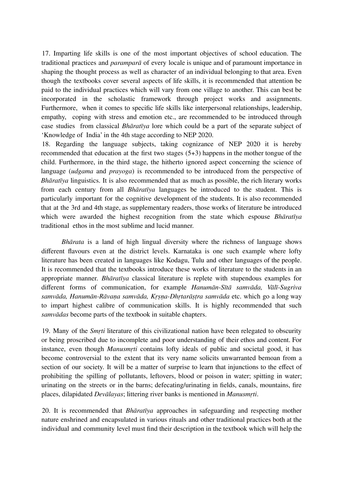17. Imparting life skills is one of the most important objectives of school education. The traditional practices and *paramparā* of every locale is unique and of paramount importance in shaping the thought process as well as character of an individual belonging to that area. Even though the textbooks cover several aspects of life skills, it is recommended that attention be paid to the individual practices which will vary from one village to another. This can best be incorporated in the scholastic framework through project works and assignments. Furthermore, when it comes to specific life skills like interpersonal relationships, leadership, empathy, coping with stress and emotion etc., are recommended to be introduced through case studies from classical *Bhāratīya* lore which could be a part of the separate subject of 'Knowledge of India' in the 4th stage according to NEP 2020.

18. Regarding the language subjects, taking cognizance of NEP 2020 it is hereby recommended that education at the first two stages (5+3) happens in the mother tongue of the child. Furthermore, in the third stage, the hitherto ignored aspect concerning the science of language (*udgama* and *prayoga*) is recommended to be introduced from the perspective of *Bhāratīya* linguistics. It is also recommended that as much as possible, the rich literary works from each century from all *Bhāratīya* languages be introduced to the student. This is particularly important for the cognitive development of the students. It is also recommended that at the 3rd and 4th stage, as supplementary readers, those works of literature be introduced which were awarded the highest recognition from the state which espouse *Bhāratīya* traditional ethos in the most sublime and lucid manner.

*Bhārata* is a land of high lingual diversity where the richness of language shows different flavours even at the district levels. Karnataka is one such example where lofty literature has been created in languages like Kodagu, Tulu and other languages of the people. It is recommended that the textbooks introduce these works of literature to the students in an appropriate manner. *Bhāratīya* classical literature is replete with stupendous examples for different forms of communication, for example *Hanumān-Sītā samvāda, Vālī-Sugriva samvāda, Hanumān-Rāvaṇa samvāda, Kṛṣṇa-Dhṛtarāṣṭra samvāda* etc. which go a long way to impart highest calibre of communication skills. It is highly recommended that such *samvādas* become parts of the textbook in suitable chapters.

19. Many of the *Smṛti* literature of this civilizational nation have been relegated to obscurity or being proscribed due to incomplete and poor understanding of their ethos and content. For instance, even though *Manusmṛti* contains lofty ideals of public and societal good, it has become controversial to the extent that its very name solicits unwarranted bemoan from a section of our society. It will be a matter of surprise to learn that injunctions to the effect of prohibiting the spilling of pollutants, leftovers, blood or poison in water; spitting in water; urinating on the streets or in the barns; defecating/urinating in fields, canals, mountains, fire places, dilapidated *Devālayas*; littering river banks is mentioned in *Manusmṛti*.

20. It is recommended that *Bhāratīya* approaches in safeguarding and respecting mother nature enshrined and encapsulated in various rituals and other traditional practices both at the individual and community level must find their description in the textbook which will help the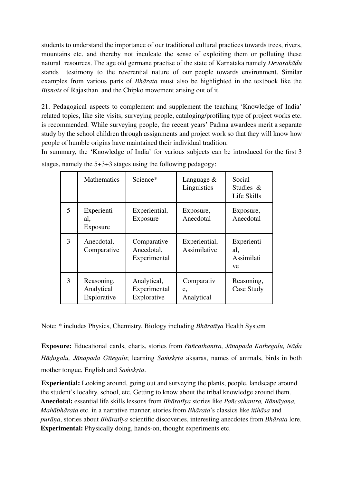students to understand the importance of our traditional cultural practices towards trees, rivers, mountains etc. and thereby not inculcate the sense of exploiting them or polluting these natural resources. The age old germane practise of the state of Karnataka namely *Devarakāḍu* stands testimony to the reverential nature of our people towards environment. Similar examples from various parts of *Bhārata* must also be highlighted in the textbook like the *Bisnois* of Rajasthan and the Chipko movement arising out of it.

21. Pedagogical aspects to complement and supplement the teaching 'Knowledge of India' related topics, like site visits, surveying people, cataloging/profiling type of project works etc. is recommended. While surveying people, the recent years' Padma awardees merit a separate study by the school children through assignments and project work so that they will know how people of humble origins have maintained their individual tradition.

In summary, the 'Knowledge of India' for various subjects can be introduced for the first 3 stages, namely the 5+3+3 stages using the following pedagogy:

|               | <b>Mathematics</b>                      | Science*                                   | Language $&$<br>Linguistics    | Social<br>Studies &<br>Life Skills    |
|---------------|-----------------------------------------|--------------------------------------------|--------------------------------|---------------------------------------|
| 5             | Experienti<br>al,<br>Exposure           | Experiential,<br>Exposure                  | Exposure,<br>Anecdotal         | Exposure,<br>Anecdotal                |
| $\mathcal{F}$ | Anecdotal,<br>Comparative               | Comparative<br>Anecdotal,<br>Experimental  | Experiential,<br>Assimilative  | Experienti<br>al,<br>Assimilati<br>ve |
| 3             | Reasoning,<br>Analytical<br>Explorative | Analytical,<br>Experimental<br>Explorative | Comparativ<br>e,<br>Analytical | Reasoning,<br>Case Study              |

Note: \* includes Physics, Chemistry, Biology including *Bhāratīya* Health System

**Exposure:** Educational cards, charts, stories from *Pañcathantra, Jānapada Kathegalu, Nāḍa Hāḍugalu, Jānapada Gītegalu*; learning *Saṁskṛta* akṣaras, names of animals, birds in both mother tongue, English and *Saṁskṛta*.

**Experiential:** Looking around, going out and surveying the plants, people, landscape around the student's locality, school, etc. Getting to know about the tribal knowledge around them. **Anecdotal:** essential life skills lessons from *Bhāratīya* stories like *Pañcathantra, Rāmāyaṇa, Mahābhārata* etc. in a narrative manner. stories from *Bhārata*'s classics like *itihāsa* and *purāṇa*, stories about *Bhāratīya* scientific discoveries, interesting anecdotes from *Bhārata* lore. **Experimental:** Physically doing, hands-on, thought experiments etc.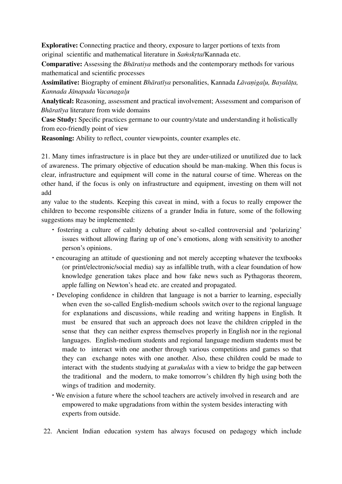**Explorative:** Connecting practice and theory, exposure to larger portions of texts from original scientific and mathematical literature in *Saṁskṛta*/Kannada etc.

**Comparative:** Assessing the *Bhāratiya* methods and the contemporary methods for various mathematical and scientific processes

**Assimilative:** Biography of eminent *Bhāratīya* personalities, Kannada *Lāvaṇigal̥u, Bayalāṭa, Kannada Jānapada Vacanagal̥u*

**Analytical:** Reasoning, assessment and practical involvement; Assessment and comparison of *Bhāratīya* literature from wide domains

**Case Study:** Specific practices germane to our country/state and understanding it holistically from eco-friendly point of view

**Reasoning:** Ability to reflect, counter viewpoints, counter examples etc.

21. Many times infrastructure is in place but they are under-utilized or unutilized due to lack of awareness. The primary objective of education should be man-making. When this focus is clear, infrastructure and equipment will come in the natural course of time. Whereas on the other hand, if the focus is only on infrastructure and equipment, investing on them will not add

any value to the students. Keeping this caveat in mind, with a focus to really empower the children to become responsible citizens of a grander India in future, some of the following suggestions may be implemented:

- ∙ fostering a culture of calmly debating about so-called controversial and 'polarizing' issues without allowing flaring up of one's emotions, along with sensitivity to another person's opinions.
- ∙ encouraging an attitude of questioning and not merely accepting whatever the textbooks (or print/electronic/social media) say as infallible truth, with a clear foundation of how knowledge generation takes place and how fake news such as Pythagoras theorem, apple falling on Newton's head etc. are created and propagated.
- ∙ Developing confidence in children that language is not a barrier to learning, especially when even the so-called English-medium schools switch over to the regional language for explanations and discussions, while reading and writing happens in English. It must be ensured that such an approach does not leave the children crippled in the sense that they can neither express themselves properly in English nor in the regional languages. English-medium students and regional language medium students must be made to interact with one another through various competitions and games so that they can exchange notes with one another. Also, these children could be made to interact with the students studying at *gurukulas* with a view to bridge the gap between the traditional and the modern, to make tomorrow's children fly high using both the wings of tradition and modernity.
- ∙ We envision a future where the school teachers are actively involved in research and are empowered to make upgradations from within the system besides interacting with experts from outside.
- 22. Ancient Indian education system has always focused on pedagogy which include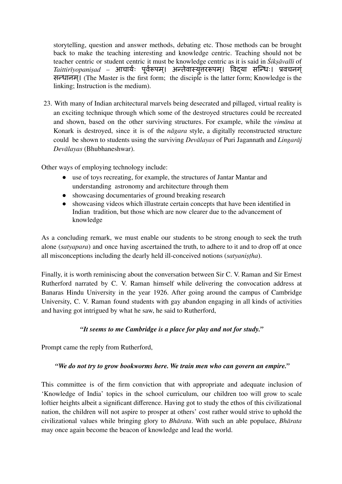storytelling, question and answer methods, debating etc. Those methods can be brought back to make the teaching interesting and knowledge centric. Teaching should not be teacher centric or student centric it must be knowledge centric as it is said in *Śikṣāvalli* of *Taittirīyopaniṣad* – आचार्यः र्य पर्वूरूर्व पम।् अन्तवा े स्यत्तु ररूपम।् विद्या सन्धिः। प्रवचनगं् सन्धानम।् (The Master is the first form; the disciple is the latter form; Knowledge is the linking; Instruction is the medium).

23. With many of Indian architectural marvels being desecrated and pillaged, virtual reality is an exciting technique through which some of the destroyed structures could be recreated and shown, based on the other surviving structures. For example, while the *vimāna* at Konark is destroyed, since it is of the *nāgara* style, a digitally reconstructed structure could be shown to students using the surviving *Devālayas* of Puri Jagannath and *Lingarāj Devālayas* (Bhubhaneshwar).

Other ways of employing technology include:

- use of toys recreating, for example, the structures of Jantar Mantar and understanding astronomy and architecture through them
- showcasing documentaries of ground breaking research
- showcasing videos which illustrate certain concepts that have been identified in Indian tradition, but those which are now clearer due to the advancement of knowledge

As a concluding remark, we must enable our students to be strong enough to seek the truth alone (*satyapara*) and once having ascertained the truth, to adhere to it and to drop off at once all misconceptions including the dearly held ill-conceived notions *(satyanistha)*.

Finally, it is worth reminiscing about the conversation between Sir C. V. Raman and Sir Ernest Rutherford narrated by C. V. Raman himself while delivering the convocation address at Banaras Hindu University in the year 1926. After going around the campus of Cambridge University, C. V. Raman found students with gay abandon engaging in all kinds of activities and having got intrigued by what he saw, he said to Rutherford,

## *"It seems to me Cambridge is a place for play and not for study."*

Prompt came the reply from Rutherford,

#### *"We do not try to grow bookworms here. We train men who can govern an empire."*

This committee is of the firm conviction that with appropriate and adequate inclusion of 'Knowledge of India' topics in the school curriculum, our children too will grow to scale loftier heights albeit a significant difference. Having got to study the ethos of this civilizational nation, the children will not aspire to prosper at others' cost rather would strive to uphold the civilizational values while bringing glory to *Bhārata*. With such an able populace, *Bhārata* may once again become the beacon of knowledge and lead the world.